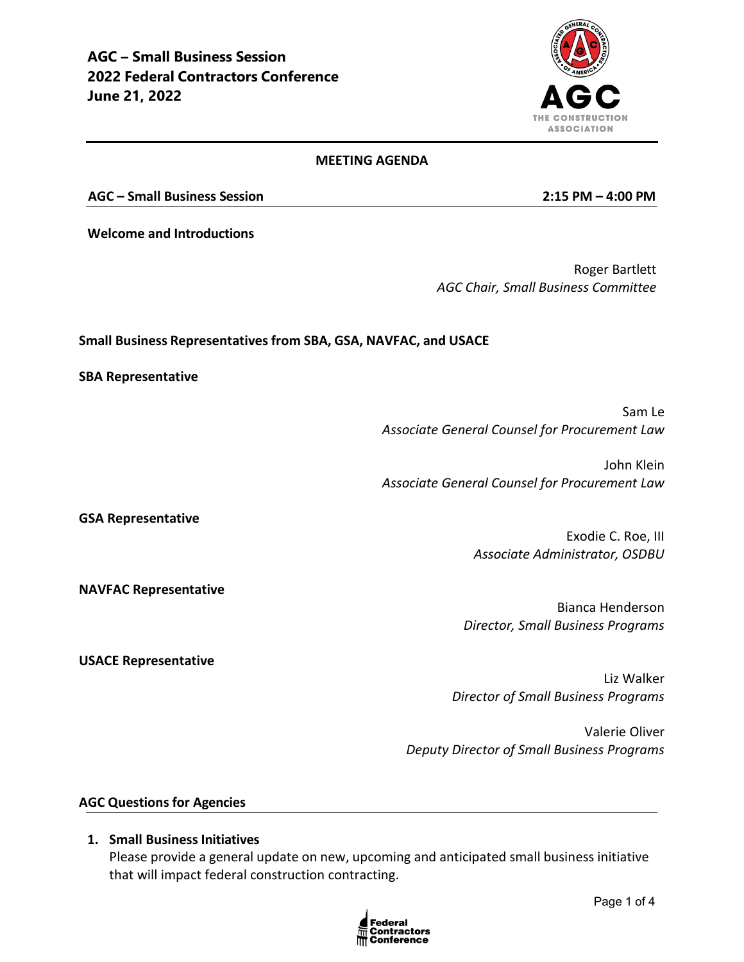

#### **MEETING AGENDA**

**AGC – Small Business Session 2:15 PM – 4:00 PM**

**Welcome and Introductions**

Roger Bartlett *AGC Chair, Small Business Committee*

#### **Small Business Representatives from SBA, GSA, NAVFAC, and USACE**

**SBA Representative**

Sam Le *Associate General Counsel for Procurement Law*

John Klein *Associate General Counsel for Procurement Law*

**GSA Representative** 

Exodie C. Roe, III *Associate Administrator, OSDBU*

**NAVFAC Representative** 

**USACE Representative**

Bianca Henderson *Director, Small Business Programs*

Liz Walker *Director of Small Business Programs*

Valerie Oliver *Deputy Director of Small Business Programs*

### **AGC Questions for Agencies**

### **1. Small Business Initiatives**

Please provide a general update on new, upcoming and anticipated small business initiative that will impact federal construction contracting.

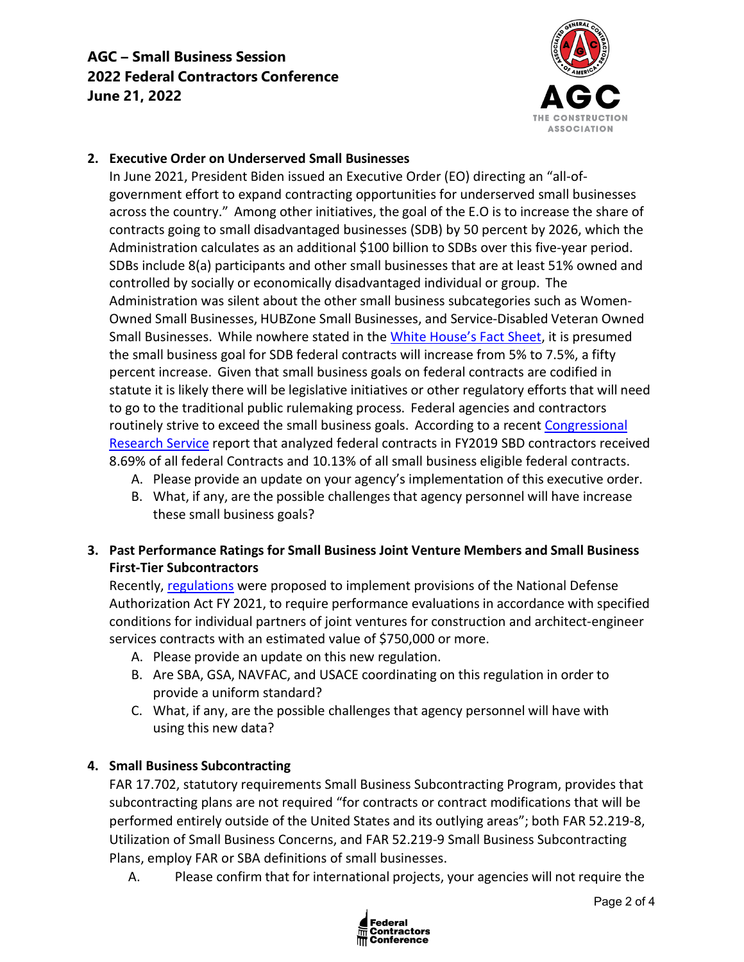# **AGC – Small Business Session 2022 Federal Contractors Conference June 21, 2022**



## **2. Executive Order on Underserved Small Businesses**

In June 2021, President Biden issued an Executive Order (EO) directing an "all-ofgovernment effort to expand contracting opportunities for underserved small businesses across the country." Among other initiatives, the goal of the E.O is to increase the share of contracts going to small disadvantaged businesses (SDB) by 50 percent by 2026, which the Administration calculates as an additional \$100 billion to SDBs over this five-year period. SDBs include 8(a) participants and other small businesses that are at least 51% owned and controlled by socially or economically disadvantaged individual or group. The Administration was silent about the other small business subcategories such as Women-Owned Small Businesses, HUBZone Small Businesses, and Service-Disabled Veteran Owned Small Businesses. While nowhere stated in the [White House's Fact Sheet,](https://www.whitehouse.gov/briefing-room/statements-releases/2021/06/01/fact-sheet-biden-harris-administration-announces-new-actions-to-build-black-wealth-and-narrow-the-racial-wealth-gap/) it is presumed the small business goal for SDB federal contracts will increase from 5% to 7.5%, a fifty percent increase. Given that small business goals on federal contracts are codified in statute it is likely there will be legislative initiatives or other regulatory efforts that will need to go to the traditional public rulemaking process. Federal agencies and contractors routinely strive to exceed the small business goals. According to a recent [Congressional](https://fas.org/sgp/crs/misc/R45576.pdf) [Research Service](https://fas.org/sgp/crs/misc/R45576.pdf) report that analyzed federal contracts in FY2019 SBD contractors received 8.69% of all federal Contracts and 10.13% of all small business eligible federal contracts.

- A. Please provide an update on your agency's implementation of this executive order.
- B. What, if any, are the possible challenges that agency personnel will have increase these small business goals?

# **3. Past Performance Ratings for Small Business Joint Venture Members and Small Business First-Tier Subcontractors**

Recently[, regulations](https://www.federalregister.gov/documents/2021/11/18/2021-25002/past-performance-ratings-for-small-business-joint-venture-members-and-small-business-first-tier) were proposed to implement provisions of the National Defense Authorization Act FY 2021, to require performance evaluations in accordance with specified conditions for individual partners of joint ventures for construction and architect-engineer services contracts with an estimated value of \$750,000 or more.

- A. Please provide an update on this new regulation.
- B. Are SBA, GSA, NAVFAC, and USACE coordinating on this regulation in order to provide a uniform standard?
- C. What, if any, are the possible challenges that agency personnel will have with using this new data?

### **4. Small Business Subcontracting**

FAR 17.702, statutory requirements Small Business Subcontracting Program, provides that subcontracting plans are not required "for contracts or contract modifications that will be performed entirely outside of the United States and its outlying areas"; both FAR 52.219-8, Utilization of Small Business Concerns, and FAR 52.219-9 Small Business Subcontracting Plans, employ FAR or SBA definitions of small businesses.

A. Please confirm that for international projects, your agencies will not require the

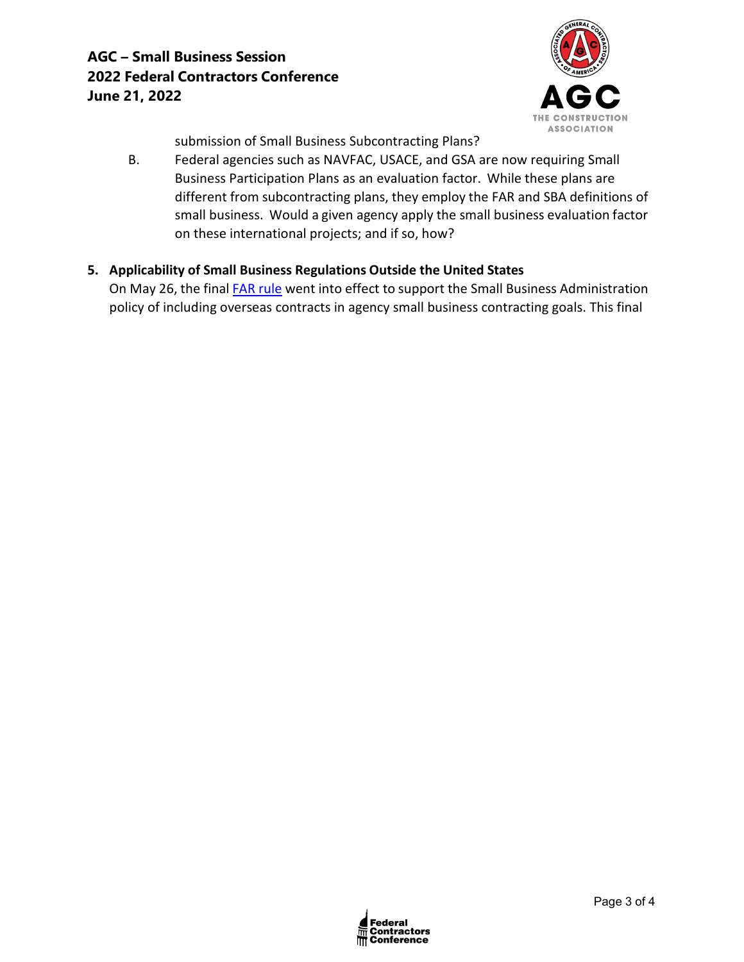

submission of Small Business Subcontracting Plans?

B. Federal agencies such as NAVFAC, USACE, and GSA are now requiring Small Business Participation Plans as an evaluation factor. While these plans are different from subcontracting plans, they employ the FAR and SBA definitions of small business. Would a given agency apply the small business evaluation factor on these international projects; and if so, how?

### **5. Applicability of Small Business Regulations Outside the United States**

On May 26, the final FAR [rule](https://www.federalregister.gov/documents/2022/04/26/2022-08577/federal-acquisition-regulation-applicability-of-small-business-regulations-outside-the-united-states) went into effect to support the Small Business Administration policy of including overseas contracts in agency small business contracting goals. This final